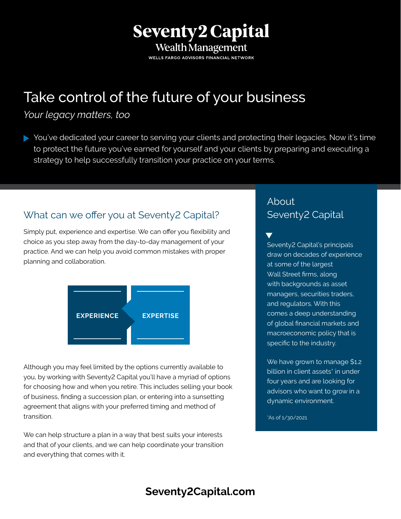## **Seventy2 Capital** Wealth Management

WELLS FARGO ADVISORS FINANCIAL NETWORK

# Take control of the future of your business

#### *Your legacy matters, too*

You've dedicated your career to serving your clients and protecting their legacies. Now it's time to protect the future you've earned for yourself and your clients by preparing and executing a strategy to help successfully transition your practice on your terms.

### What can we offer you at Seventy2 Capital?

Simply put, experience and expertise. We can offer you flexibility and choice as you step away from the day-to-day management of your practice. And we can help you avoid common mistakes with proper planning and collaboration.



Although you may feel limited by the options currently available to you, by working with Seventy2 Capital you'll have a myriad of options for choosing how and when you retire. This includes selling your book of business, finding a succession plan, or entering into a sunsetting agreement that aligns with your preferred timing and method of transition.

We can help structure a plan in a way that best suits your interests and that of your clients, and we can help coordinate your transition and everything that comes with it.

#### About Seventy2 Capital

 $\blacktriangledown$ Seventy2 Capital's principals draw on decades of experience at some of the largest Wall Street firms, along with backgrounds as asset managers, securities traders, and regulators. With this comes a deep understanding of global financial markets and macroeconomic policy that is specific to the industry.

We have grown to manage \$1.2 billion in client assets<sup>\*</sup> in under four years and are looking for advisors who want to grow in a dynamic environment.

\*As of 1/30/2021

## **[Seventy2Capital.com](seventy2capital.com)**